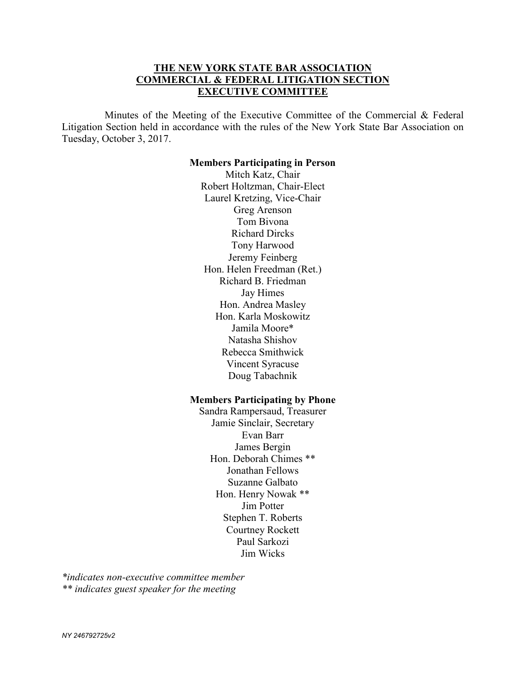# **THE NEW YORK STATE BAR ASSOCIATION COMMERCIAL & FEDERAL LITIGATION SECTION EXECUTIVE COMMITTEE**

 Minutes of the Meeting of the Executive Committee of the Commercial & Federal Litigation Section held in accordance with the rules of the New York State Bar Association on Tuesday, October 3, 2017.

#### **Members Participating in Person**

Mitch Katz, Chair Robert Holtzman, Chair-Elect Laurel Kretzing, Vice-Chair Greg Arenson Tom Bivona Richard Dircks Tony Harwood Jeremy Feinberg Hon. Helen Freedman (Ret.) Richard B. Friedman Jay Himes Hon. Andrea Masley Hon. Karla Moskowitz Jamila Moore\* Natasha Shishov Rebecca Smithwick Vincent Syracuse Doug Tabachnik

### **Members Participating by Phone**

Sandra Rampersaud, Treasurer Jamie Sinclair, Secretary Evan Barr James Bergin Hon. Deborah Chimes \*\* Jonathan Fellows Suzanne Galbato Hon. Henry Nowak \*\* Jim Potter Stephen T. Roberts Courtney Rockett Paul Sarkozi Jim Wicks

*\*indicates non-executive committee member \*\* indicates guest speaker for the meeting*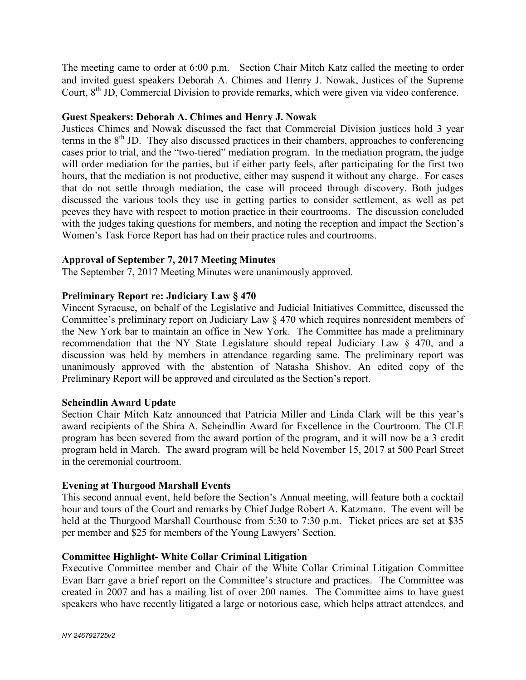The meeting came to order at 6:00 p.m. Section Chair Mitch Katz called the meeting to order and invited guest speakers Deborah A. Chimes and Henry J. Nowak, Justices of the Supreme Court, 8<sup>th</sup> JD, Commercial Division to provide remarks, which were given via video conference.

### **Guest Speakers: Deborah A. Chimes and Henry J. Nowak**

Justices Chimes and Nowak discussed the fact that Commercial Division justices hold 3 year terms in the  $8<sup>th</sup>$  JD. They also discussed practices in their chambers, approaches to conferencing cases prior to trial, and the "two-tiered" mediation program. In the mediation program, the judge will order mediation for the parties, but if either party feels, after participating for the first two hours, that the mediation is not productive, either may suspend it without any charge. For cases that do not settle through mediation, the case will proceed through discovery. Both judges discussed the various tools they use in getting parties to consider settlement, as well as pet peeves they have with respect to motion practice in their courtrooms. The discussion concluded with the judges taking questions for members, and noting the reception and impact the Section's Women's Task Force Report has had on their practice rules and courtrooms.

## **Approval of September 7, 2017 Meeting Minutes**

The September 7, 2017 Meeting Minutes were unanimously approved.

## **Preliminary Report re: Judiciary Law § 470**

Vincent Syracuse, on behalf of the Legislative and Judicial Initiatives Committee, discussed the Committee's preliminary report on Judiciary Law § 470 which requires nonresident members of the New York bar to maintain an office in New York. The Committee has made a preliminary recommendation that the NY State Legislature should repeal Judiciary Law § 470, and a discussion was held by members in attendance regarding same. The preliminary report was unanimously approved with the abstention of Natasha Shishov. An edited copy of the Preliminary Report will be approved and circulated as the Section's report.

### **Scheindlin Award Update**

Section Chair Mitch Katz announced that Patricia Miller and Linda Clark will be this year's award recipients of the Shira A. Scheindlin Award for Excellence in the Courtroom. The CLE program has been severed from the award portion of the program, and it will now be a 3 credit program held in March. The award program will be held November 15, 2017 at 500 Pearl Street in the ceremonial courtroom.

### **Evening at Thurgood Marshall Events**

This second annual event, held before the Section's Annual meeting, will feature both a cocktail hour and tours of the Court and remarks by Chief Judge Robert A. Katzmann. The event will be held at the Thurgood Marshall Courthouse from 5:30 to 7:30 p.m. Ticket prices are set at \$35 per member and \$25 for members of the Young Lawyers' Section.

## **Committee Highlight- White Collar Criminal Litigation**

Executive Committee member and Chair of the White Collar Criminal Litigation Committee Evan Barr gave a brief report on the Committee's structure and practices. The Committee was created in 2007 and has a mailing list of over 200 names. The Committee aims to have guest speakers who have recently litigated a large or notorious case, which helps attract attendees, and